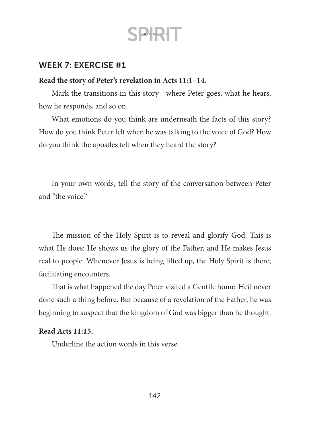S ENCOUNTER THE

#### WEEK 7: EXERCISE #1

#### **Read the story of Peter's revelation in Acts 11:1–14.**

Mark the transitions in this story—where Peter goes, what he hears, how he responds, and so on.

What emotions do you think are underneath the facts of this story? How do you think Peter felt when he was talking to the voice of God? How do you think the apostles felt when they heard the story?

In your own words, tell the story of the conversation between Peter and "the voice"

The mission of the Holy Spirit is to reveal and glorify God. This is what He does: He shows us the glory of the Father, and He makes Jesus real to people. Whenever Jesus is being lifted up, the Holy Spirit is there, facilitating encounters.

That is what happened the day Peter visited a Gentile home. He'd never done such a thing before. But because of a revelation of the Father, he was beginning to suspect that the kingdom of God was bigger than he thought.

#### **Read Acts 11:15.**

Underline the action words in this verse.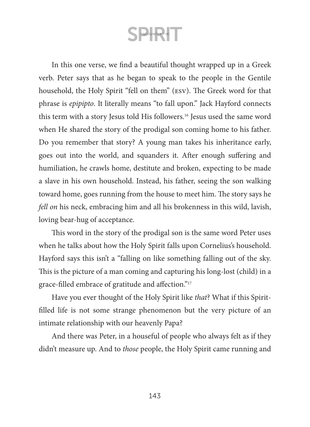In this one verse, we find a beautiful thought wrapped up in a Greek verb. Peter says that as he began to speak to the people in the Gentile household, the Holy Spirit "fell on them" (esv). The Greek word for that phrase is *epipipto*. It literally means "to fall upon." Jack Hayford connects this term with a story Jesus told His followers.<sup>16</sup> Jesus used the same word when He shared the story of the prodigal son coming home to his father. Do you remember that story? A young man takes his inheritance early, goes out into the world, and squanders it. After enough suffering and humiliation, he crawls home, destitute and broken, expecting to be made a slave in his own household. Instead, his father, seeing the son walking toward home, goes running from the house to meet him. The story says he *fell on* his neck, embracing him and all his brokenness in this wild, lavish, loving bear-hug of acceptance.

This word in the story of the prodigal son is the same word Peter uses when he talks about how the Holy Spirit falls upon Cornelius's household. Hayford says this isn't a "falling on like something falling out of the sky. This is the picture of a man coming and capturing his long-lost (child) in a grace-filled embrace of gratitude and affection."17

Have you ever thought of the Holy Spirit like *that*? What if this Spiritfilled life is not some strange phenomenon but the very picture of an intimate relationship with our heavenly Papa?

And there was Peter, in a houseful of people who always felt as if they didn't measure up. And to *those* people, the Holy Spirit came running and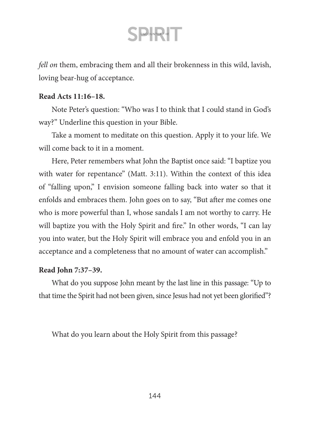*fell on* them, embracing them and all their brokenness in this wild, lavish, loving bear-hug of acceptance.

#### **Read Acts 11:16–18.**

Note Peter's question: "Who was I to think that I could stand in God's way?" Underline this question in your Bible.

Take a moment to meditate on this question. Apply it to your life. We will come back to it in a moment.

Here, Peter remembers what John the Baptist once said: "I baptize you with water for repentance" (Matt. 3:11). Within the context of this idea of "falling upon," I envision someone falling back into water so that it enfolds and embraces them. John goes on to say, "But after me comes one who is more powerful than I, whose sandals I am not worthy to carry. He will baptize you with the Holy Spirit and fire." In other words, "I can lay you into water, but the Holy Spirit will embrace you and enfold you in an acceptance and a completeness that no amount of water can accomplish."

#### **Read John 7:37–39.**

What do you suppose John meant by the last line in this passage: "Up to that time the Spirit had not been given, since Jesus had not yet been glorified"?

What do you learn about the Holy Spirit from this passage?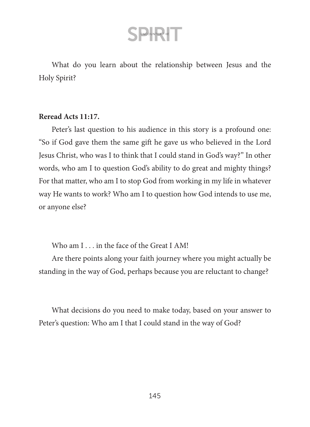What do you learn about the relationship between Jesus and the Holy Spirit?

#### **Reread Acts 11:17.**

Peter's last question to his audience in this story is a profound one: "So if God gave them the same gift he gave us who believed in the Lord Jesus Christ, who was I to think that I could stand in God's way?" In other words, who am I to question God's ability to do great and mighty things? For that matter, who am I to stop God from working in my life in whatever way He wants to work? Who am I to question how God intends to use me, or anyone else?

Who am I . . . in the face of the Great I AM!

Are there points along your faith journey where you might actually be standing in the way of God, perhaps because you are reluctant to change?

What decisions do you need to make today, based on your answer to Peter's question: Who am I that I could stand in the way of God?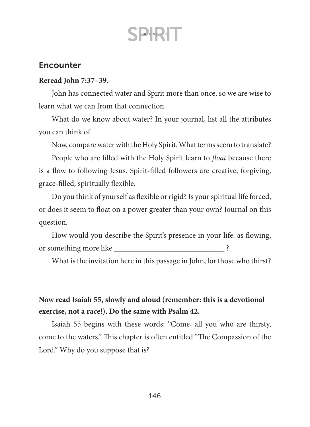### **Encounter**

#### **Reread John 7:37–39.**

John has connected water and Spirit more than once, so we are wise to learn what we can from that connection.

What do we know about water? In your journal, list all the attributes you can think of.

Now, compare water with the Holy Spirit. What terms seem to translate?

People who are filled with the Holy Spirit learn to *float* because there is a flow to following Jesus. Spirit-filled followers are creative, forgiving, grace-filled, spiritually flexible.

Do you think of yourself as flexible or rigid? Is your spiritual life forced, or does it seem to float on a power greater than your own? Journal on this question.

How would you describe the Spirit's presence in your life: as flowing, or something more like \_\_\_\_\_\_\_\_\_\_\_\_\_\_\_\_\_\_\_\_\_\_\_\_\_\_\_\_ ?

What is the invitation here in this passage in John, for those who thirst?

### **Now read Isaiah 55, slowly and aloud (remember: this is a devotional exercise, not a race!). Do the same with Psalm 42.**

Isaiah 55 begins with these words: "Come, all you who are thirsty, come to the waters." This chapter is often entitled "The Compassion of the Lord." Why do you suppose that is?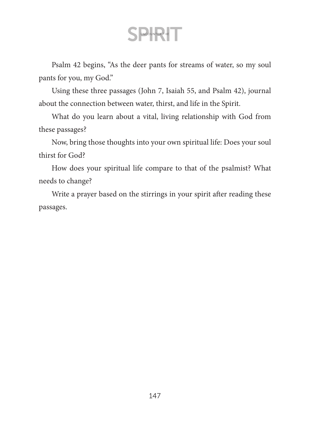Psalm 42 begins, "As the deer pants for streams of water, so my soul pants for you, my God."

Using these three passages (John 7, Isaiah 55, and Psalm 42), journal about the connection between water, thirst, and life in the Spirit.

What do you learn about a vital, living relationship with God from these passages?

Now, bring those thoughts into your own spiritual life: Does your soul thirst for God?

How does your spiritual life compare to that of the psalmist? What needs to change?

Write a prayer based on the stirrings in your spirit after reading these passages.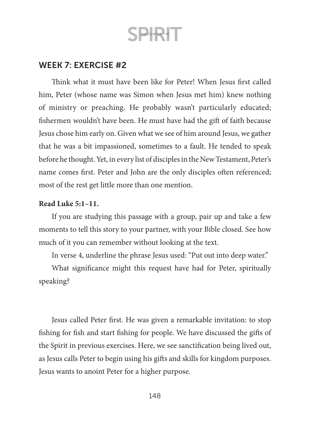### WEEK 7: EXERCISE #2

Think what it must have been like for Peter! When Jesus first called him, Peter (whose name was Simon when Jesus met him) knew nothing of ministry or preaching. He probably wasn't particularly educated; fishermen wouldn't have been. He must have had the gift of faith because Jesus chose him early on. Given what we see of him around Jesus, we gather that he was a bit impassioned, sometimes to a fault. He tended to speak before he thought. Yet, in every list of disciples in the New Testament, Peter's name comes first. Peter and John are the only disciples often referenced; most of the rest get little more than one mention.

#### **Read Luke 5:1–11.**

If you are studying this passage with a group, pair up and take a few moments to tell this story to your partner, with your Bible closed. See how much of it you can remember without looking at the text.

In verse 4, underline the phrase Jesus used: "Put out into deep water."

What significance might this request have had for Peter, spiritually speaking?

Jesus called Peter first. He was given a remarkable invitation: to stop fishing for fish and start fishing for people. We have discussed the gifts of the Spirit in previous exercises. Here, we see sanctification being lived out, as Jesus calls Peter to begin using his gifts and skills for kingdom purposes. Jesus wants to anoint Peter for a higher purpose.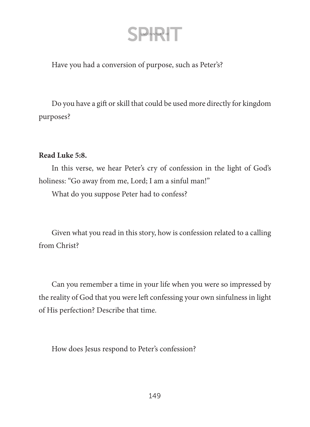Have you had a conversion of purpose, such as Peter's?

Do you have a gift or skill that could be used more directly for kingdom purposes?

#### **Read Luke 5:8.**

In this verse, we hear Peter's cry of confession in the light of God's holiness: "Go away from me, Lord; I am a sinful man!"

What do you suppose Peter had to confess?

Given what you read in this story, how is confession related to a calling from Christ?

Can you remember a time in your life when you were so impressed by the reality of God that you were left confessing your own sinfulness in light of His perfection? Describe that time.

How does Jesus respond to Peter's confession?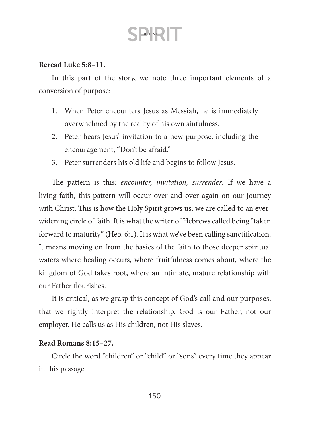#### **Reread Luke 5:8–11.**

In this part of the story, we note three important elements of a conversion of purpose:

- 1. When Peter encounters Jesus as Messiah, he is immediately overwhelmed by the reality of his own sinfulness.
- 2. Peter hears Jesus' invitation to a new purpose, including the encouragement, "Don't be afraid."
- 3. Peter surrenders his old life and begins to follow Jesus.

The pattern is this: *encounter, invitation, surrender*. If we have a living faith, this pattern will occur over and over again on our journey with Christ. This is how the Holy Spirit grows us; we are called to an everwidening circle of faith. It is what the writer of Hebrews called being "taken forward to maturity" (Heb. 6:1). It is what we've been calling sanctification. It means moving on from the basics of the faith to those deeper spiritual waters where healing occurs, where fruitfulness comes about, where the kingdom of God takes root, where an intimate, mature relationship with our Father flourishes.

It is critical, as we grasp this concept of God's call and our purposes, that we rightly interpret the relationship. God is our Father, not our employer. He calls us as His children, not His slaves.

#### **Read Romans 8:15–27.**

Circle the word "children" or "child" or "sons" every time they appear in this passage.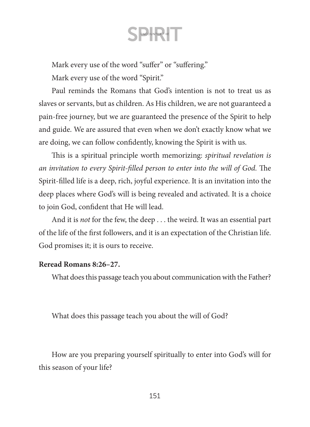Mark every use of the word "suffer" or "suffering."

Mark every use of the word "Spirit."

Paul reminds the Romans that God's intention is not to treat us as slaves or servants, but as children. As His children, we are not guaranteed a pain-free journey, but we are guaranteed the presence of the Spirit to help and guide. We are assured that even when we don't exactly know what we are doing, we can follow confidently, knowing the Spirit is with us.

This is a spiritual principle worth memorizing: *spiritual revelation is an invitation to every Spirit-filled person to enter into the will of God.* The Spirit-filled life is a deep, rich, joyful experience. It is an invitation into the deep places where God's will is being revealed and activated. It is a choice to join God, confident that He will lead.

And it is *not* for the few, the deep . . . the weird. It was an essential part of the life of the first followers, and it is an expectation of the Christian life. God promises it; it is ours to receive.

#### **Reread Romans 8:26–27.**

What does this passage teach you about communication with the Father?

What does this passage teach you about the will of God?

How are you preparing yourself spiritually to enter into God's will for this season of your life?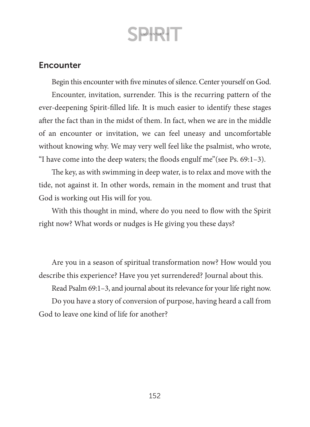### **Encounter**

Begin this encounter with five minutes of silence. Center yourself on God. Encounter, invitation, surrender. This is the recurring pattern of the ever-deepening Spirit-filled life. It is much easier to identify these stages after the fact than in the midst of them. In fact, when we are in the middle of an encounter or invitation, we can feel uneasy and uncomfortable without knowing why. We may very well feel like the psalmist, who wrote, "I have come into the deep waters; the floods engulf me"(see Ps. 69:1–3).

The key, as with swimming in deep water, is to relax and move with the tide, not against it. In other words, remain in the moment and trust that God is working out His will for you.

With this thought in mind, where do you need to flow with the Spirit right now? What words or nudges is He giving you these days?

Are you in a season of spiritual transformation now? How would you describe this experience? Have you yet surrendered? Journal about this.

Read Psalm 69:1–3, and journal about its relevance for your life right now.

Do you have a story of conversion of purpose, having heard a call from God to leave one kind of life for another?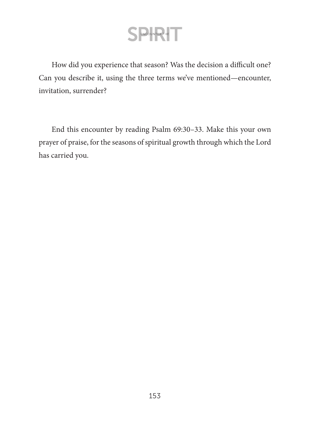How did you experience that season? Was the decision a difficult one? Can you describe it, using the three terms we've mentioned—encounter, invitation, surrender?

End this encounter by reading Psalm 69:30–33. Make this your own prayer of praise, for the seasons of spiritual growth through which the Lord has carried you.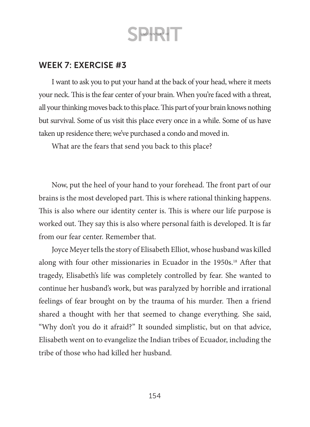### WEEK 7: EXERCISE #3

I want to ask you to put your hand at the back of your head, where it meets your neck. This is the fear center of your brain. When you're faced with a threat, all your thinking moves back to this place. This part of your brain knows nothing but survival. Some of us visit this place every once in a while. Some of us have taken up residence there; we've purchased a condo and moved in.

What are the fears that send you back to this place?

Now, put the heel of your hand to your forehead. The front part of our brains is the most developed part. This is where rational thinking happens. This is also where our identity center is. This is where our life purpose is worked out. They say this is also where personal faith is developed. It is far from our fear center. Remember that.

Joyce Meyer tells the story of Elisabeth Elliot, whose husband was killed along with four other missionaries in Ecuador in the 1950s.<sup>18</sup> After that tragedy, Elisabeth's life was completely controlled by fear. She wanted to continue her husband's work, but was paralyzed by horrible and irrational feelings of fear brought on by the trauma of his murder. Then a friend shared a thought with her that seemed to change everything. She said, "Why don't you do it afraid?" It sounded simplistic, but on that advice, Elisabeth went on to evangelize the Indian tribes of Ecuador, including the tribe of those who had killed her husband.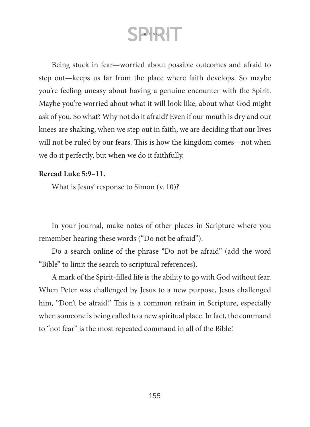Being stuck in fear—worried about possible outcomes and afraid to step out—keeps us far from the place where faith develops. So maybe you're feeling uneasy about having a genuine encounter with the Spirit. Maybe you're worried about what it will look like, about what God might ask of you. So what? Why not do it afraid? Even if our mouth is dry and our knees are shaking, when we step out in faith, we are deciding that our lives will not be ruled by our fears. This is how the kingdom comes—not when we do it perfectly, but when we do it faithfully.

#### **Reread Luke 5:9–11.**

What is Jesus' response to Simon (v. 10)?

In your journal, make notes of other places in Scripture where you remember hearing these words ("Do not be afraid").

Do a search online of the phrase "Do not be afraid" (add the word "Bible" to limit the search to scriptural references).

A mark of the Spirit-filled life is the ability to go with God without fear. When Peter was challenged by Jesus to a new purpose, Jesus challenged him, "Don't be afraid." This is a common refrain in Scripture, especially when someone is being called to a new spiritual place. In fact, the command to "not fear" is the most repeated command in all of the Bible!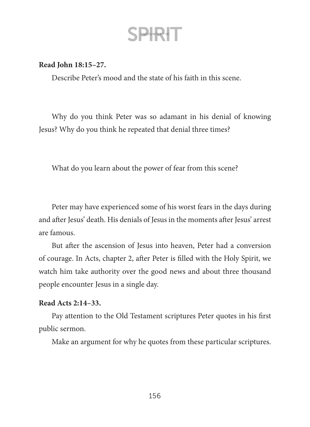#### **Read John 18:15–27.**

Describe Peter's mood and the state of his faith in this scene.

Why do you think Peter was so adamant in his denial of knowing Jesus? Why do you think he repeated that denial three times?

What do you learn about the power of fear from this scene?

Peter may have experienced some of his worst fears in the days during and after Jesus' death. His denials of Jesus in the moments after Jesus' arrest are famous.

But after the ascension of Jesus into heaven, Peter had a conversion of courage. In Acts, chapter 2, after Peter is filled with the Holy Spirit, we watch him take authority over the good news and about three thousand people encounter Jesus in a single day.

#### **Read Acts 2:14–33.**

Pay attention to the Old Testament scriptures Peter quotes in his first public sermon.

Make an argument for why he quotes from these particular scriptures.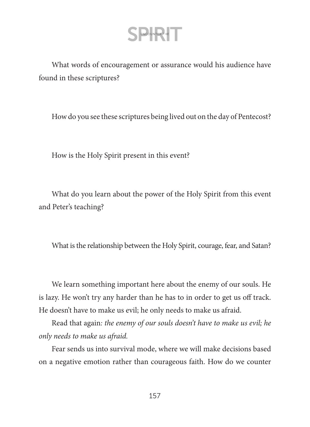What words of encouragement or assurance would his audience have found in these scriptures?

How do you see these scriptures being lived out on the day of Pentecost?

How is the Holy Spirit present in this event?

What do you learn about the power of the Holy Spirit from this event and Peter's teaching?

What is the relationship between the Holy Spirit, courage, fear, and Satan?

We learn something important here about the enemy of our souls. He is lazy. He won't try any harder than he has to in order to get us off track. He doesn't have to make us evil; he only needs to make us afraid.

Read that again*: the enemy of our souls doesn't have to make us evil; he only needs to make us afraid.*

Fear sends us into survival mode, where we will make decisions based on a negative emotion rather than courageous faith. How do we counter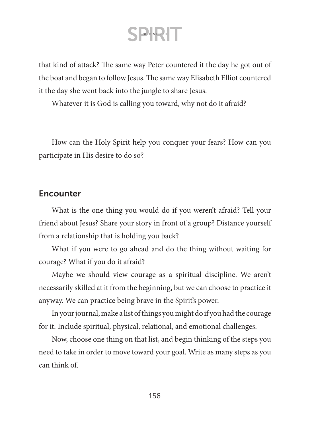that kind of attack? The same way Peter countered it the day he got out of the boat and began to follow Jesus. The same way Elisabeth Elliot countered it the day she went back into the jungle to share Jesus.

Whatever it is God is calling you toward, why not do it afraid?

How can the Holy Spirit help you conquer your fears? How can you participate in His desire to do so?

### **Encounter**

What is the one thing you would do if you weren't afraid? Tell your friend about Jesus? Share your story in front of a group? Distance yourself from a relationship that is holding you back?

What if you were to go ahead and do the thing without waiting for courage? What if you do it afraid?

Maybe we should view courage as a spiritual discipline. We aren't necessarily skilled at it from the beginning, but we can choose to practice it anyway. We can practice being brave in the Spirit's power.

In your journal, make a list of things you might do if you had the courage for it. Include spiritual, physical, relational, and emotional challenges.

Now, choose one thing on that list, and begin thinking of the steps you need to take in order to move toward your goal. Write as many steps as you can think of.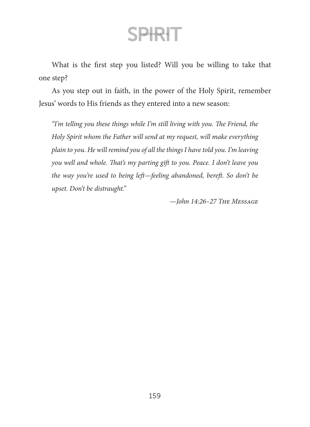What is the first step you listed? Will you be willing to take that one step?

As you step out in faith, in the power of the Holy Spirit, remember Jesus' words to His friends as they entered into a new season:

*"I'm telling you these things while I'm still living with you. The Friend, the Holy Spirit whom the Father will send at my request, will make everything plain to you. He will remind you of all the things I have told you. I'm leaving you well and whole. That's my parting gift to you. Peace. I don't leave you the way you're used to being left—feeling abandoned, bereft. So don't be upset. Don't be distraught."*

*—John 14:26–27 The Message*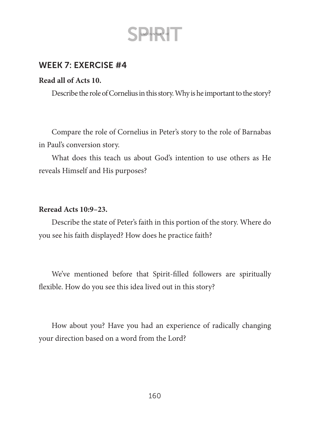

### WEEK 7: EXERCISE #4

#### **Read all of Acts 10.**

Describe the role of Cornelius in this story. Why is he important to the story?

Compare the role of Cornelius in Peter's story to the role of Barnabas in Paul's conversion story.

What does this teach us about God's intention to use others as He reveals Himself and His purposes?

#### **Reread Acts 10:9–23.**

Describe the state of Peter's faith in this portion of the story. Where do you see his faith displayed? How does he practice faith?

We've mentioned before that Spirit-filled followers are spiritually flexible. How do you see this idea lived out in this story?

How about you? Have you had an experience of radically changing your direction based on a word from the Lord?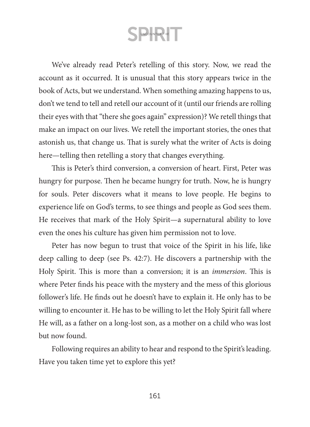We've already read Peter's retelling of this story. Now, we read the account as it occurred. It is unusual that this story appears twice in the book of Acts, but we understand. When something amazing happens to us, don't we tend to tell and retell our account of it (until our friends are rolling their eyes with that "there she goes again" expression)? We retell things that make an impact on our lives. We retell the important stories, the ones that astonish us, that change us. That is surely what the writer of Acts is doing here—telling then retelling a story that changes everything.

This is Peter's third conversion, a conversion of heart. First, Peter was hungry for purpose. Then he became hungry for truth. Now, he is hungry for souls. Peter discovers what it means to love people. He begins to experience life on God's terms, to see things and people as God sees them. He receives that mark of the Holy Spirit—a supernatural ability to love even the ones his culture has given him permission not to love.

Peter has now begun to trust that voice of the Spirit in his life, like deep calling to deep (see Ps. 42:7). He discovers a partnership with the Holy Spirit. This is more than a conversion; it is an *immersion*. This is where Peter finds his peace with the mystery and the mess of this glorious follower's life. He finds out he doesn't have to explain it. He only has to be willing to encounter it. He has to be willing to let the Holy Spirit fall where He will, as a father on a long-lost son, as a mother on a child who was lost but now found.

Following requires an ability to hear and respond to the Spirit's leading. Have you taken time yet to explore this yet?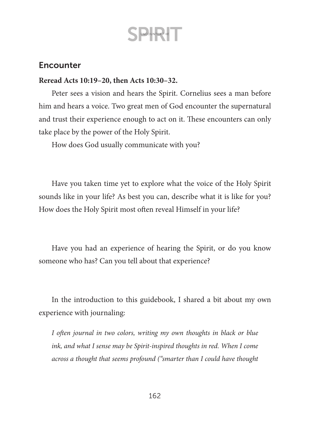### **Encounter**

#### **Reread Acts 10:19–20, then Acts 10:30–32.**

Peter sees a vision and hears the Spirit. Cornelius sees a man before him and hears a voice. Two great men of God encounter the supernatural and trust their experience enough to act on it. These encounters can only take place by the power of the Holy Spirit.

How does God usually communicate with you?

Have you taken time yet to explore what the voice of the Holy Spirit sounds like in your life? As best you can, describe what it is like for you? How does the Holy Spirit most often reveal Himself in your life?

Have you had an experience of hearing the Spirit, or do you know someone who has? Can you tell about that experience?

In the introduction to this guidebook, I shared a bit about my own experience with journaling:

*I often journal in two colors, writing my own thoughts in black or blue ink, and what I sense may be Spirit-inspired thoughts in red. When I come across a thought that seems profound ("smarter than I could have thought*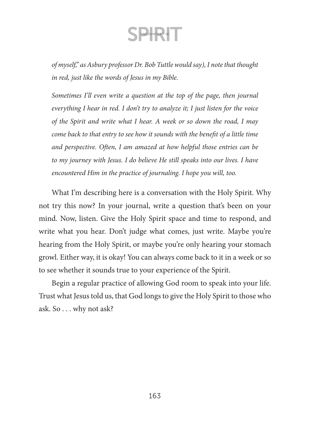*of myself," as Asbury professor Dr. Bob Tuttle would say), I note that thought in red, just like the words of Jesus in my Bible.* 

*Sometimes I'll even write a question at the top of the page, then journal everything I hear in red. I don't try to analyze it; I just listen for the voice of the Spirit and write what I hear. A week or so down the road, I may come back to that entry to see how it sounds with the benefit of a little time and perspective. Often, I am amazed at how helpful those entries can be to my journey with Jesus. I do believe He still speaks into our lives. I have encountered Him in the practice of journaling. I hope you will, too.*

What I'm describing here is a conversation with the Holy Spirit. Why not try this now? In your journal, write a question that's been on your mind. Now, listen. Give the Holy Spirit space and time to respond, and write what you hear. Don't judge what comes, just write. Maybe you're hearing from the Holy Spirit, or maybe you're only hearing your stomach growl. Either way, it is okay! You can always come back to it in a week or so to see whether it sounds true to your experience of the Spirit.

Begin a regular practice of allowing God room to speak into your life. Trust what Jesus told us, that God longs to give the Holy Spirit to those who ask. So . . . why not ask?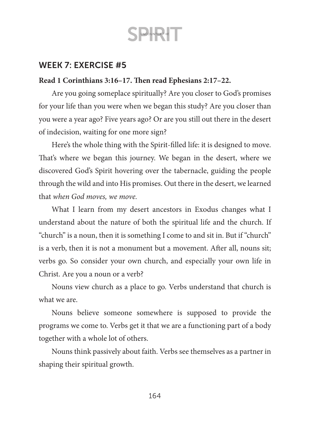

### WEEK 7: EXERCISE #5

#### **Read 1 Corinthians 3:16–17. Then read Ephesians 2:17–22.**

Are you going someplace spiritually? Are you closer to God's promises for your life than you were when we began this study? Are you closer than you were a year ago? Five years ago? Or are you still out there in the desert of indecision, waiting for one more sign?

Here's the whole thing with the Spirit-filled life: it is designed to move. That's where we began this journey. We began in the desert, where we discovered God's Spirit hovering over the tabernacle, guiding the people through the wild and into His promises. Out there in the desert, we learned that *when God moves, we move.*

What I learn from my desert ancestors in Exodus changes what I understand about the nature of both the spiritual life and the church. If "church" is a noun, then it is something I come to and sit in. But if "church" is a verb, then it is not a monument but a movement. After all, nouns sit; verbs go. So consider your own church, and especially your own life in Christ. Are you a noun or a verb?

Nouns view church as a place to go. Verbs understand that church is what we are.

Nouns believe someone somewhere is supposed to provide the programs we come to. Verbs get it that we are a functioning part of a body together with a whole lot of others.

Nouns think passively about faith. Verbs see themselves as a partner in shaping their spiritual growth.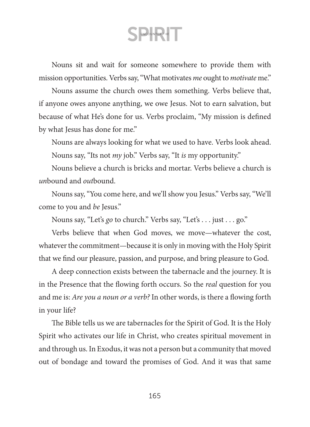Nouns sit and wait for someone somewhere to provide them with mission opportunities. Verbs say, "What motivates *me* ought to *motivate* me."

Nouns assume the church owes them something. Verbs believe that, if anyone owes anyone anything, we owe Jesus. Not to earn salvation, but because of what He's done for us. Verbs proclaim, "My mission is defined by what Jesus has done for me."

Nouns are always looking for what we used to have. Verbs look ahead. Nouns say, "Its not *my* job." Verbs say, "It *is* my opportunity."

Nouns believe a church is bricks and mortar. Verbs believe a church is *un*bound and *out*bound.

Nouns say, "You come here, and we'll show you Jesus." Verbs say, "We'll come to you and *be* Jesus."

Nouns say, "Let's *go* to church." Verbs say, "Let's . . . just . . . go."

Verbs believe that when God moves, we move—whatever the cost, whatever the commitment—because it is only in moving with the Holy Spirit that we find our pleasure, passion, and purpose, and bring pleasure to God.

A deep connection exists between the tabernacle and the journey. It is in the Presence that the flowing forth occurs. So the *real* question for you and me is: *Are you a noun or a verb?* In other words, is there a flowing forth in your life?

The Bible tells us we are tabernacles for the Spirit of God. It is the Holy Spirit who activates our life in Christ, who creates spiritual movement in and through us. In Exodus, it was not a person but a community that moved out of bondage and toward the promises of God. And it was that same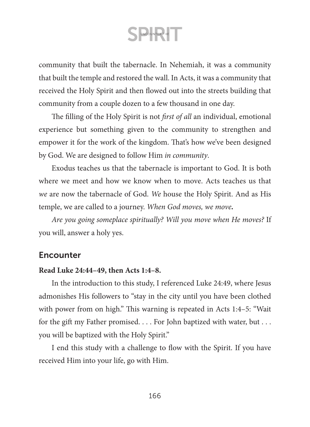community that built the tabernacle. In Nehemiah, it was a community that built the temple and restored the wall. In Acts, it was a community that received the Holy Spirit and then flowed out into the streets building that community from a couple dozen to a few thousand in one day.

The filling of the Holy Spirit is not *first of all* an individual, emotional experience but something given to the community to strengthen and empower it for the work of the kingdom. That's how we've been designed by God. We are designed to follow Him *in community*.

Exodus teaches us that the tabernacle is important to God. It is both where we meet and how we know when to move. Acts teaches us that *we* are now the tabernacle of God. *We* house the Holy Spirit. And as His temple, we are called to a journey. *When God moves, we move.*

*Are you going someplace spiritually? Will you move when He moves?* If you will, answer a holy yes.

#### **Encounter**

#### **Read Luke 24:44–49, then Acts 1:4–8.**

In the introduction to this study, I referenced Luke 24:49, where Jesus admonishes His followers to "stay in the city until you have been clothed with power from on high." This warning is repeated in Acts 1:4–5: "Wait for the gift my Father promised. . . . For John baptized with water, but . . . you will be baptized with the Holy Spirit."

I end this study with a challenge to flow with the Spirit. If you have received Him into your life, go with Him.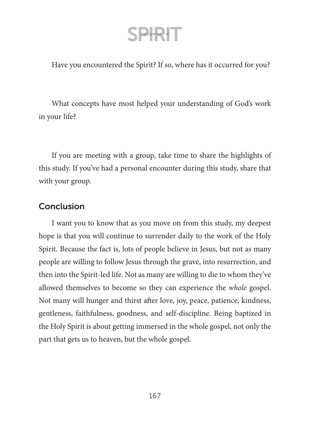Have you encountered the Spirit? If so, where has it occurred for you?

What concepts have most helped your understanding of God's work in your life?

If you are meeting with a group, take time to share the highlights of this study. If you've had a personal encounter during this study, share that with your group.

### Conclusion

I want you to know that as you move on from this study, my deepest hope is that you will continue to surrender daily to the work of the Holy Spirit. Because the fact is, lots of people believe in Jesus, but not as many people are willing to follow Jesus through the grave, into resurrection, and then into the Spirit-led life. Not as many are willing to die to whom they've allowed themselves to become so they can experience the *whole* gospel. Not many will hunger and thirst after love, joy, peace, patience, kindness, gentleness, faithfulness, goodness, and self-discipline. Being baptized in the Holy Spirit is about getting immersed in the whole gospel, not only the part that gets us to heaven, but the whole gospel.